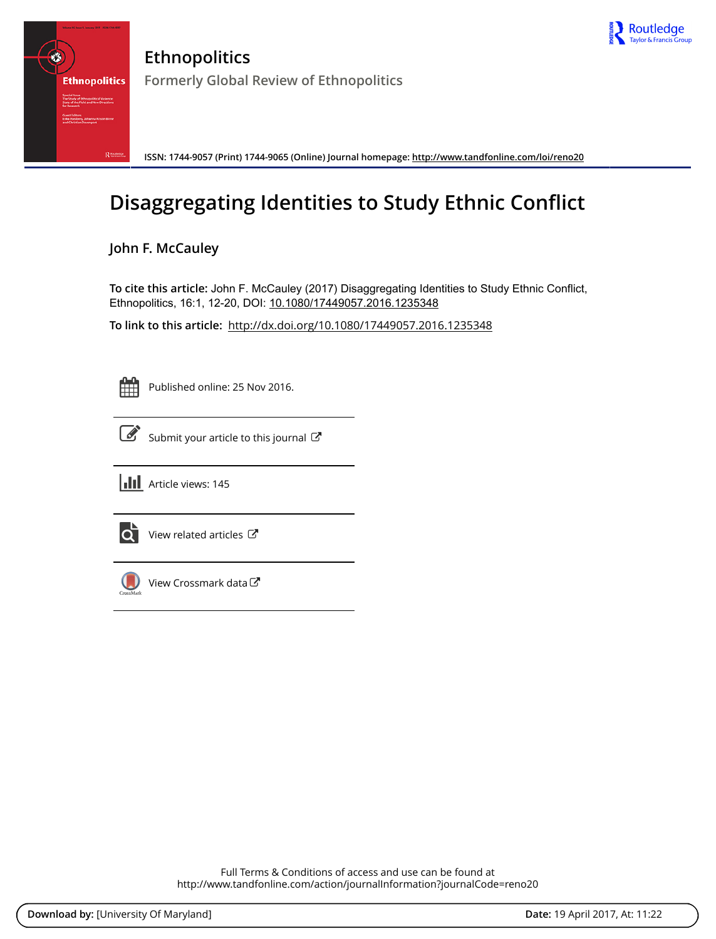

**Ethnopolitics Formerly Global Review of Ethnopolitics**

**ISSN: 1744-9057 (Print) 1744-9065 (Online) Journal homepage:<http://www.tandfonline.com/loi/reno20>**

# **Disaggregating Identities to Study Ethnic Conflict**

# **John F. McCauley**

**To cite this article:** John F. McCauley (2017) Disaggregating Identities to Study Ethnic Conflict, Ethnopolitics, 16:1, 12-20, DOI: [10.1080/17449057.2016.1235348](http://www.tandfonline.com/action/showCitFormats?doi=10.1080/17449057.2016.1235348)

**To link to this article:** <http://dx.doi.org/10.1080/17449057.2016.1235348>

 $\bullet$ 

**Ethnopolitics** 

Rs

Published online: 25 Nov 2016.



 $\overline{\mathscr{L}}$  [Submit your article to this journal](http://www.tandfonline.com/action/authorSubmission?journalCode=reno20&show=instructions)  $\mathbb{Z}$ 



**III** Article views: 145



[View related articles](http://www.tandfonline.com/doi/mlt/10.1080/17449057.2016.1235348) C



[View Crossmark data](http://crossmark.crossref.org/dialog/?doi=10.1080/17449057.2016.1235348&domain=pdf&date_stamp=2016-11-25)

Full Terms & Conditions of access and use can be found at <http://www.tandfonline.com/action/journalInformation?journalCode=reno20>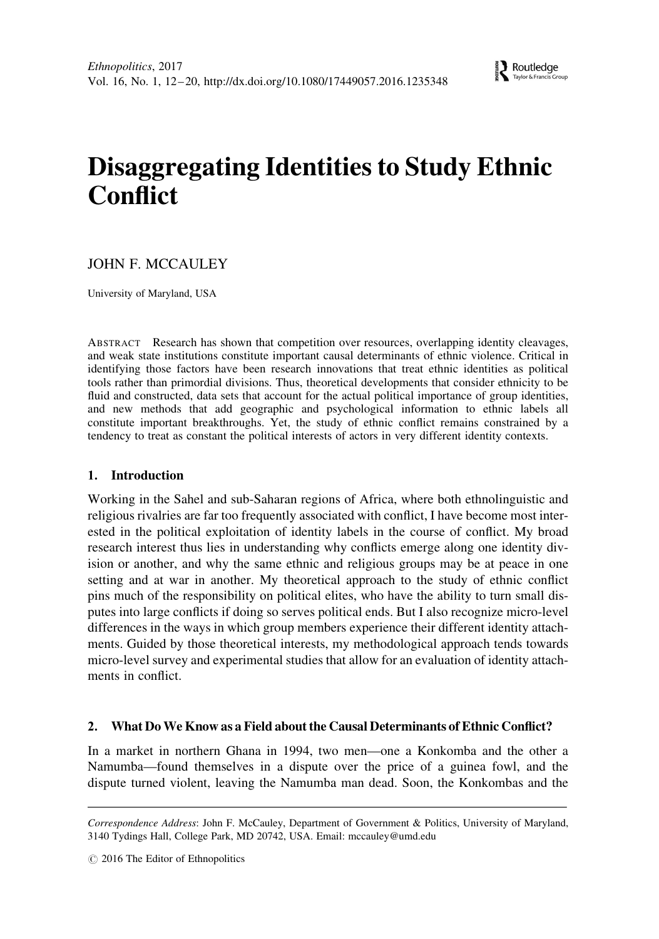# Disaggregating Identities to Study Ethnic **Conflict**

### JOHN F. MCCAULEY

University of Maryland, USA

ABSTRACT Research has shown that competition over resources, overlapping identity cleavages, and weak state institutions constitute important causal determinants of ethnic violence. Critical in identifying those factors have been research innovations that treat ethnic identities as political tools rather than primordial divisions. Thus, theoretical developments that consider ethnicity to be fluid and constructed, data sets that account for the actual political importance of group identities, and new methods that add geographic and psychological information to ethnic labels all constitute important breakthroughs. Yet, the study of ethnic conflict remains constrained by a tendency to treat as constant the political interests of actors in very different identity contexts.

#### 1. Introduction

Working in the Sahel and sub-Saharan regions of Africa, where both ethnolinguistic and religious rivalries are far too frequently associated with conflict, I have become most interested in the political exploitation of identity labels in the course of conflict. My broad research interest thus lies in understanding why conflicts emerge along one identity division or another, and why the same ethnic and religious groups may be at peace in one setting and at war in another. My theoretical approach to the study of ethnic conflict pins much of the responsibility on political elites, who have the ability to turn small disputes into large conflicts if doing so serves political ends. But I also recognize micro-level differences in the ways in which group members experience their different identity attachments. Guided by those theoretical interests, my methodological approach tends towards micro-level survey and experimental studies that allow for an evaluation of identity attachments in conflict.

#### 2. What DoWe Know as a Field about the Causal Determinants of Ethnic Conflict?

In a market in northern Ghana in 1994, two men—one a Konkomba and the other a Namumba—found themselves in a dispute over the price of a guinea fowl, and the dispute turned violent, leaving the Namumba man dead. Soon, the Konkombas and the

Correspondence Address: John F. McCauley, Department of Government & Politics, University of Maryland, 3140 Tydings Hall, College Park, MD 20742, USA. Email: [mccauley@umd.edu](mailto:mccauley@umd.edu)

 $\odot$  2016 The Editor of Ethnopolitics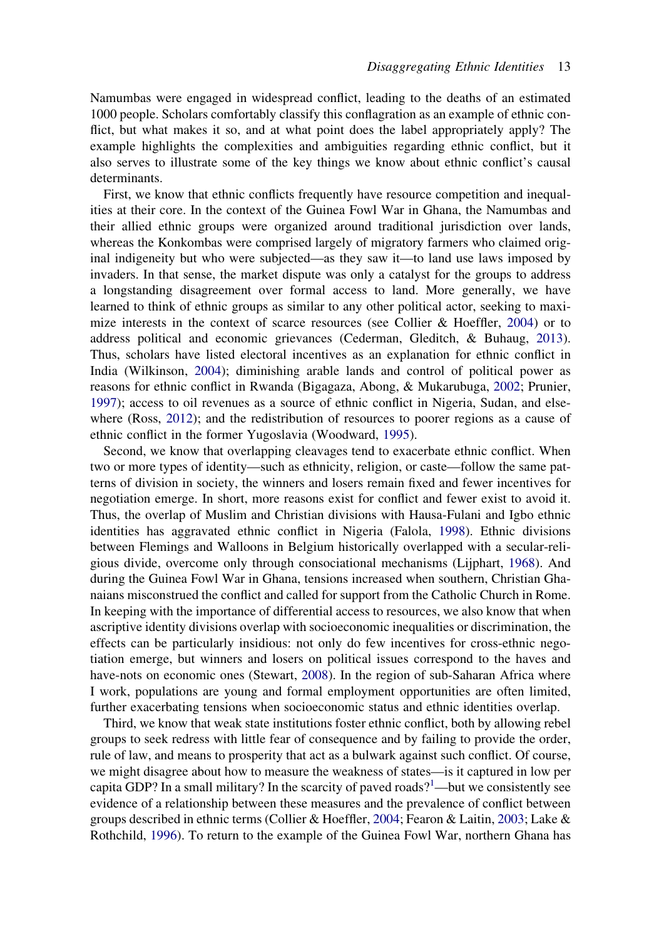<span id="page-2-0"></span>Namumbas were engaged in widespread conflict, leading to the deaths of an estimated 1000 people. Scholars comfortably classify this conflagration as an example of ethnic conflict, but what makes it so, and at what point does the label appropriately apply? The example highlights the complexities and ambiguities regarding ethnic conflict, but it also serves to illustrate some of the key things we know about ethnic conflict's causal determinants.

First, we know that ethnic conflicts frequently have resource competition and inequalities at their core. In the context of the Guinea Fowl War in Ghana, the Namumbas and their allied ethnic groups were organized around traditional jurisdiction over lands, whereas the Konkombas were comprised largely of migratory farmers who claimed original indigeneity but who were subjected—as they saw it—to land use laws imposed by invaders. In that sense, the market dispute was only a catalyst for the groups to address a longstanding disagreement over formal access to land. More generally, we have learned to think of ethnic groups as similar to any other political actor, seeking to maximize interests in the context of scarce resources (see Collier & Hoeffler, [2004\)](#page-8-0) or to address political and economic grievances (Cederman, Gleditch, & Buhaug, [2013\)](#page-8-0). Thus, scholars have listed electoral incentives as an explanation for ethnic conflict in India (Wilkinson, [2004\)](#page-8-0); diminishing arable lands and control of political power as reasons for ethnic conflict in Rwanda (Bigagaza, Abong, & Mukarubuga, [2002;](#page-8-0) Prunier, [1997\)](#page-8-0); access to oil revenues as a source of ethnic conflict in Nigeria, Sudan, and elsewhere (Ross, [2012](#page-8-0)); and the redistribution of resources to poorer regions as a cause of ethnic conflict in the former Yugoslavia (Woodward, [1995\)](#page-9-0).

Second, we know that overlapping cleavages tend to exacerbate ethnic conflict. When two or more types of identity—such as ethnicity, religion, or caste—follow the same patterns of division in society, the winners and losers remain fixed and fewer incentives for negotiation emerge. In short, more reasons exist for conflict and fewer exist to avoid it. Thus, the overlap of Muslim and Christian divisions with Hausa-Fulani and Igbo ethnic identities has aggravated ethnic conflict in Nigeria (Falola, [1998](#page-8-0)). Ethnic divisions between Flemings and Walloons in Belgium historically overlapped with a secular-religious divide, overcome only through consociational mechanisms (Lijphart, [1968\)](#page-8-0). And during the Guinea Fowl War in Ghana, tensions increased when southern, Christian Ghanaians misconstrued the conflict and called for support from the Catholic Church in Rome. In keeping with the importance of differential access to resources, we also know that when ascriptive identity divisions overlap with socioeconomic inequalities or discrimination, the effects can be particularly insidious: not only do few incentives for cross-ethnic negotiation emerge, but winners and losers on political issues correspond to the haves and have-nots on economic ones (Stewart, [2008\)](#page-8-0). In the region of sub-Saharan Africa where I work, populations are young and formal employment opportunities are often limited, further exacerbating tensions when socioeconomic status and ethnic identities overlap.

Third, we know that weak state institutions foster ethnic conflict, both by allowing rebel groups to seek redress with little fear of consequence and by failing to provide the order, rule of law, and means to prosperity that act as a bulwark against such conflict. Of course, we might disagree about how to measure the weakness of states—is it captured in low per capita GDP? In a small military? In the scarcity of paved roads?<sup>[1](#page-7-0)</sup>—but we consistently see evidence of a relationship between these measures and the prevalence of conflict between groups described in ethnic terms (Collier & Hoeffler, [2004](#page-8-0); Fearon & Laitin, [2003;](#page-8-0) Lake & Rothchild, [1996](#page-8-0)). To return to the example of the Guinea Fowl War, northern Ghana has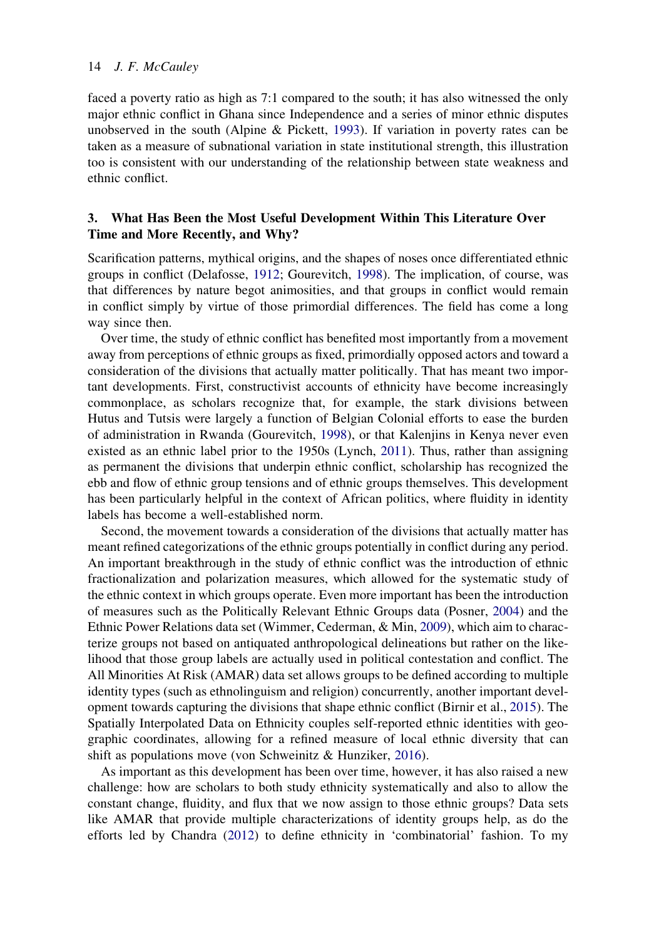#### <span id="page-3-0"></span>14 J. F. McCauley

faced a poverty ratio as high as 7:1 compared to the south; it has also witnessed the only major ethnic conflict in Ghana since Independence and a series of minor ethnic disputes unobserved in the south (Alpine & Pickett,  $1993$ ). If variation in poverty rates can be taken as a measure of subnational variation in state institutional strength, this illustration too is consistent with our understanding of the relationship between state weakness and ethnic conflict.

#### 3. What Has Been the Most Useful Development Within This Literature Over Time and More Recently, and Why?

Scarification patterns, mythical origins, and the shapes of noses once differentiated ethnic groups in conflict (Delafosse, [1912;](#page-8-0) Gourevitch, [1998\)](#page-8-0). The implication, of course, was that differences by nature begot animosities, and that groups in conflict would remain in conflict simply by virtue of those primordial differences. The field has come a long way since then.

Over time, the study of ethnic conflict has benefited most importantly from a movement away from perceptions of ethnic groups as fixed, primordially opposed actors and toward a consideration of the divisions that actually matter politically. That has meant two important developments. First, constructivist accounts of ethnicity have become increasingly commonplace, as scholars recognize that, for example, the stark divisions between Hutus and Tutsis were largely a function of Belgian Colonial efforts to ease the burden of administration in Rwanda (Gourevitch, [1998\)](#page-8-0), or that Kalenjins in Kenya never even existed as an ethnic label prior to the 1950s (Lynch, [2011](#page-8-0)). Thus, rather than assigning as permanent the divisions that underpin ethnic conflict, scholarship has recognized the ebb and flow of ethnic group tensions and of ethnic groups themselves. This development has been particularly helpful in the context of African politics, where fluidity in identity labels has become a well-established norm.

Second, the movement towards a consideration of the divisions that actually matter has meant refined categorizations of the ethnic groups potentially in conflict during any period. An important breakthrough in the study of ethnic conflict was the introduction of ethnic fractionalization and polarization measures, which allowed for the systematic study of the ethnic context in which groups operate. Even more important has been the introduction of measures such as the Politically Relevant Ethnic Groups data (Posner, [2004](#page-8-0)) and the Ethnic Power Relations data set (Wimmer, Cederman, & Min, [2009](#page-9-0)), which aim to characterize groups not based on antiquated anthropological delineations but rather on the likelihood that those group labels are actually used in political contestation and conflict. The All Minorities At Risk (AMAR) data set allows groups to be defined according to multiple identity types (such as ethnolinguism and religion) concurrently, another important development towards capturing the divisions that shape ethnic conflict (Birnir et al., [2015\)](#page-8-0). The Spatially Interpolated Data on Ethnicity couples self-reported ethnic identities with geographic coordinates, allowing for a refined measure of local ethnic diversity that can shift as populations move (von Schweinitz & Hunziker, [2016\)](#page-8-0).

As important as this development has been over time, however, it has also raised a new challenge: how are scholars to both study ethnicity systematically and also to allow the constant change, fluidity, and flux that we now assign to those ethnic groups? Data sets like AMAR that provide multiple characterizations of identity groups help, as do the efforts led by Chandra [\(2012](#page-8-0)) to define ethnicity in 'combinatorial' fashion. To my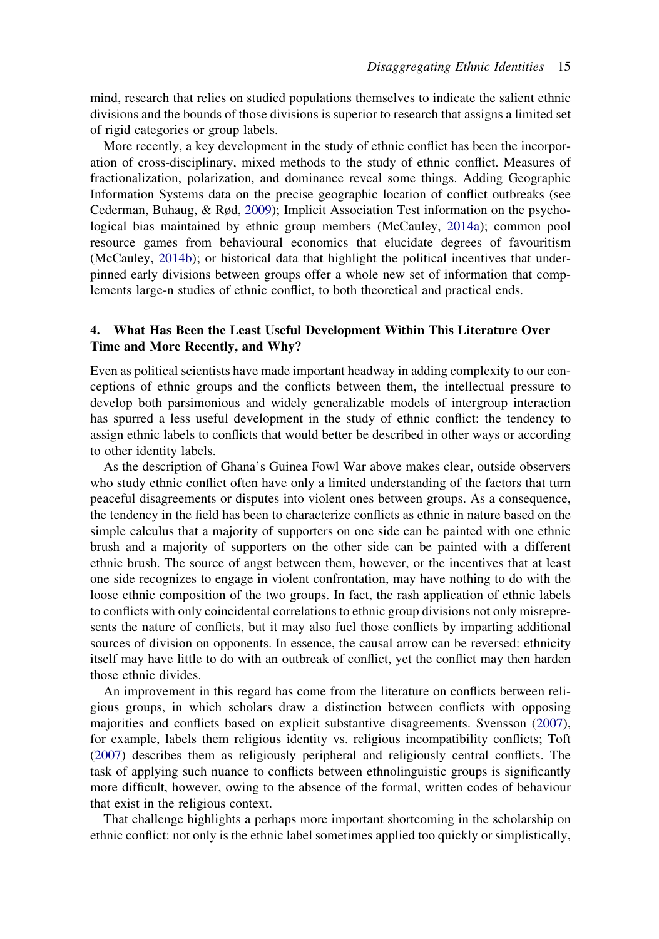<span id="page-4-0"></span>mind, research that relies on studied populations themselves to indicate the salient ethnic divisions and the bounds of those divisions is superior to research that assigns a limited set of rigid categories or group labels.

More recently, a key development in the study of ethnic conflict has been the incorporation of cross-disciplinary, mixed methods to the study of ethnic conflict. Measures of fractionalization, polarization, and dominance reveal some things. Adding Geographic Information Systems data on the precise geographic location of conflict outbreaks (see Cederman, Buhaug, & Rød, [2009](#page-8-0)); Implicit Association Test information on the psychological bias maintained by ethnic group members (McCauley, [2014a](#page-8-0)); common pool resource games from behavioural economics that elucidate degrees of favouritism (McCauley, [2014b\)](#page-8-0); or historical data that highlight the political incentives that underpinned early divisions between groups offer a whole new set of information that complements large-n studies of ethnic conflict, to both theoretical and practical ends.

#### 4. What Has Been the Least Useful Development Within This Literature Over Time and More Recently, and Why?

Even as political scientists have made important headway in adding complexity to our conceptions of ethnic groups and the conflicts between them, the intellectual pressure to develop both parsimonious and widely generalizable models of intergroup interaction has spurred a less useful development in the study of ethnic conflict: the tendency to assign ethnic labels to conflicts that would better be described in other ways or according to other identity labels.

As the description of Ghana's Guinea Fowl War above makes clear, outside observers who study ethnic conflict often have only a limited understanding of the factors that turn peaceful disagreements or disputes into violent ones between groups. As a consequence, the tendency in the field has been to characterize conflicts as ethnic in nature based on the simple calculus that a majority of supporters on one side can be painted with one ethnic brush and a majority of supporters on the other side can be painted with a different ethnic brush. The source of angst between them, however, or the incentives that at least one side recognizes to engage in violent confrontation, may have nothing to do with the loose ethnic composition of the two groups. In fact, the rash application of ethnic labels to conflicts with only coincidental correlations to ethnic group divisions not only misrepresents the nature of conflicts, but it may also fuel those conflicts by imparting additional sources of division on opponents. In essence, the causal arrow can be reversed: ethnicity itself may have little to do with an outbreak of conflict, yet the conflict may then harden those ethnic divides.

An improvement in this regard has come from the literature on conflicts between religious groups, in which scholars draw a distinction between conflicts with opposing majorities and conflicts based on explicit substantive disagreements. Svensson ([2007\)](#page-8-0), for example, labels them religious identity vs. religious incompatibility conflicts; Toft ([2007\)](#page-8-0) describes them as religiously peripheral and religiously central conflicts. The task of applying such nuance to conflicts between ethnolinguistic groups is significantly more difficult, however, owing to the absence of the formal, written codes of behaviour that exist in the religious context.

That challenge highlights a perhaps more important shortcoming in the scholarship on ethnic conflict: not only is the ethnic label sometimes applied too quickly or simplistically,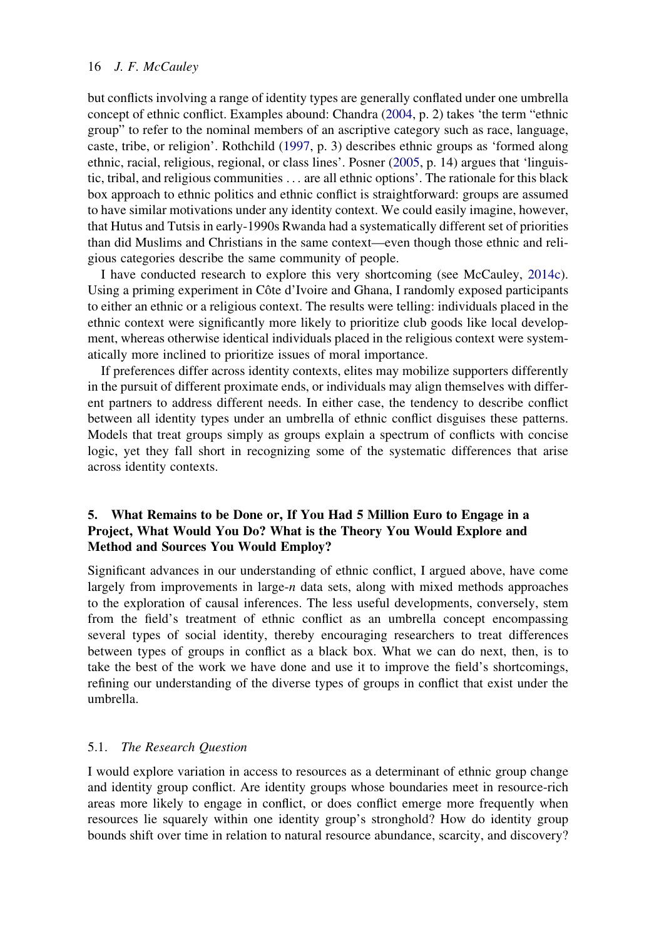#### <span id="page-5-0"></span>16 J. F. McCauley

but conflicts involving a range of identity types are generally conflated under one umbrella concept of ethnic conflict. Examples abound: Chandra ([2004,](#page-8-0) p. 2) takes 'the term "ethnic group" to refer to the nominal members of an ascriptive category such as race, language, caste, tribe, or religion'. Rothchild [\(1997](#page-8-0), p. 3) describes ethnic groups as 'formed along ethnic, racial, religious, regional, or class lines'. Posner [\(2005](#page-8-0), p. 14) argues that 'linguistic, tribal, and religious communities ... are all ethnic options'. The rationale for this black box approach to ethnic politics and ethnic conflict is straightforward: groups are assumed to have similar motivations under any identity context. We could easily imagine, however, that Hutus and Tutsis in early-1990s Rwanda had a systematically different set of priorities than did Muslims and Christians in the same context—even though those ethnic and religious categories describe the same community of people.

I have conducted research to explore this very shortcoming (see McCauley, [2014c\)](#page-8-0). Using a priming experiment in Côte d'Ivoire and Ghana, I randomly exposed participants to either an ethnic or a religious context. The results were telling: individuals placed in the ethnic context were significantly more likely to prioritize club goods like local development, whereas otherwise identical individuals placed in the religious context were systematically more inclined to prioritize issues of moral importance.

If preferences differ across identity contexts, elites may mobilize supporters differently in the pursuit of different proximate ends, or individuals may align themselves with different partners to address different needs. In either case, the tendency to describe conflict between all identity types under an umbrella of ethnic conflict disguises these patterns. Models that treat groups simply as groups explain a spectrum of conflicts with concise logic, yet they fall short in recognizing some of the systematic differences that arise across identity contexts.

### 5. What Remains to be Done or, If You Had 5 Million Euro to Engage in a Project, What Would You Do? What is the Theory You Would Explore and Method and Sources You Would Employ?

Significant advances in our understanding of ethnic conflict, I argued above, have come largely from improvements in large- $n$  data sets, along with mixed methods approaches to the exploration of causal inferences. The less useful developments, conversely, stem from the field's treatment of ethnic conflict as an umbrella concept encompassing several types of social identity, thereby encouraging researchers to treat differences between types of groups in conflict as a black box. What we can do next, then, is to take the best of the work we have done and use it to improve the field's shortcomings, refining our understanding of the diverse types of groups in conflict that exist under the umbrella.

#### 5.1. The Research Question

I would explore variation in access to resources as a determinant of ethnic group change and identity group conflict. Are identity groups whose boundaries meet in resource-rich areas more likely to engage in conflict, or does conflict emerge more frequently when resources lie squarely within one identity group's stronghold? How do identity group bounds shift over time in relation to natural resource abundance, scarcity, and discovery?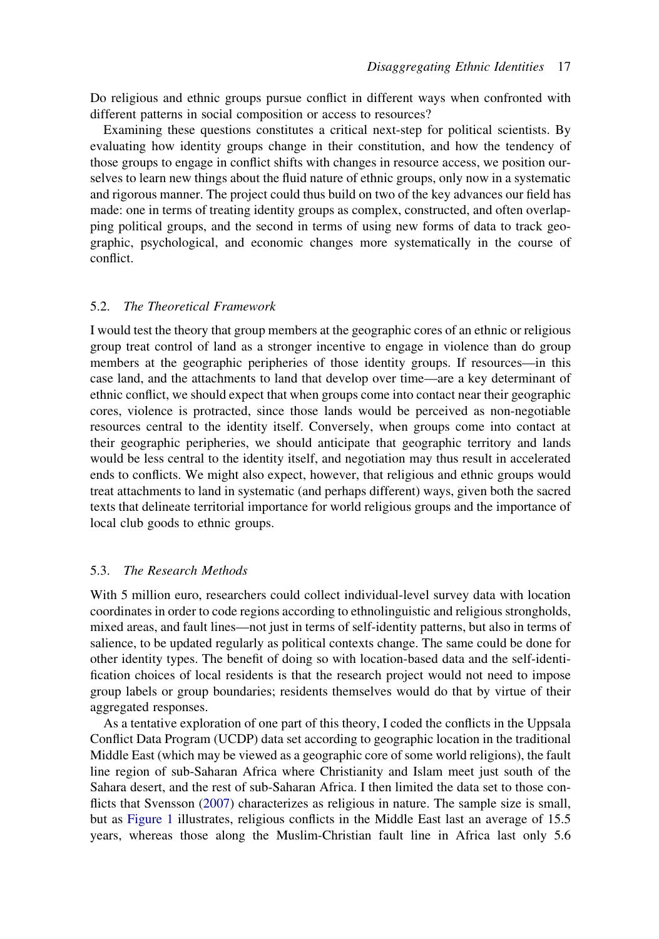Do religious and ethnic groups pursue conflict in different ways when confronted with different patterns in social composition or access to resources?

Examining these questions constitutes a critical next-step for political scientists. By evaluating how identity groups change in their constitution, and how the tendency of those groups to engage in conflict shifts with changes in resource access, we position ourselves to learn new things about the fluid nature of ethnic groups, only now in a systematic and rigorous manner. The project could thus build on two of the key advances our field has made: one in terms of treating identity groups as complex, constructed, and often overlapping political groups, and the second in terms of using new forms of data to track geographic, psychological, and economic changes more systematically in the course of conflict.

#### 5.2. The Theoretical Framework

I would test the theory that group members at the geographic cores of an ethnic or religious group treat control of land as a stronger incentive to engage in violence than do group members at the geographic peripheries of those identity groups. If resources—in this case land, and the attachments to land that develop over time—are a key determinant of ethnic conflict, we should expect that when groups come into contact near their geographic cores, violence is protracted, since those lands would be perceived as non-negotiable resources central to the identity itself. Conversely, when groups come into contact at their geographic peripheries, we should anticipate that geographic territory and lands would be less central to the identity itself, and negotiation may thus result in accelerated ends to conflicts. We might also expect, however, that religious and ethnic groups would treat attachments to land in systematic (and perhaps different) ways, given both the sacred texts that delineate territorial importance for world religious groups and the importance of local club goods to ethnic groups.

#### 5.3. The Research Methods

With 5 million euro, researchers could collect individual-level survey data with location coordinates in order to code regions according to ethnolinguistic and religious strongholds, mixed areas, and fault lines—not just in terms of self-identity patterns, but also in terms of salience, to be updated regularly as political contexts change. The same could be done for other identity types. The benefit of doing so with location-based data and the self-identification choices of local residents is that the research project would not need to impose group labels or group boundaries; residents themselves would do that by virtue of their aggregated responses.

As a tentative exploration of one part of this theory, I coded the conflicts in the Uppsala Conflict Data Program (UCDP) data set according to geographic location in the traditional Middle East (which may be viewed as a geographic core of some world religions), the fault line region of sub-Saharan Africa where Christianity and Islam meet just south of the Sahara desert, and the rest of sub-Saharan Africa. I then limited the data set to those conflicts that Svensson [\(2007](#page-8-0)) characterizes as religious in nature. The sample size is small, but as [Figure 1](#page-7-0) illustrates, religious conflicts in the Middle East last an average of 15.5 years, whereas those along the Muslim-Christian fault line in Africa last only 5.6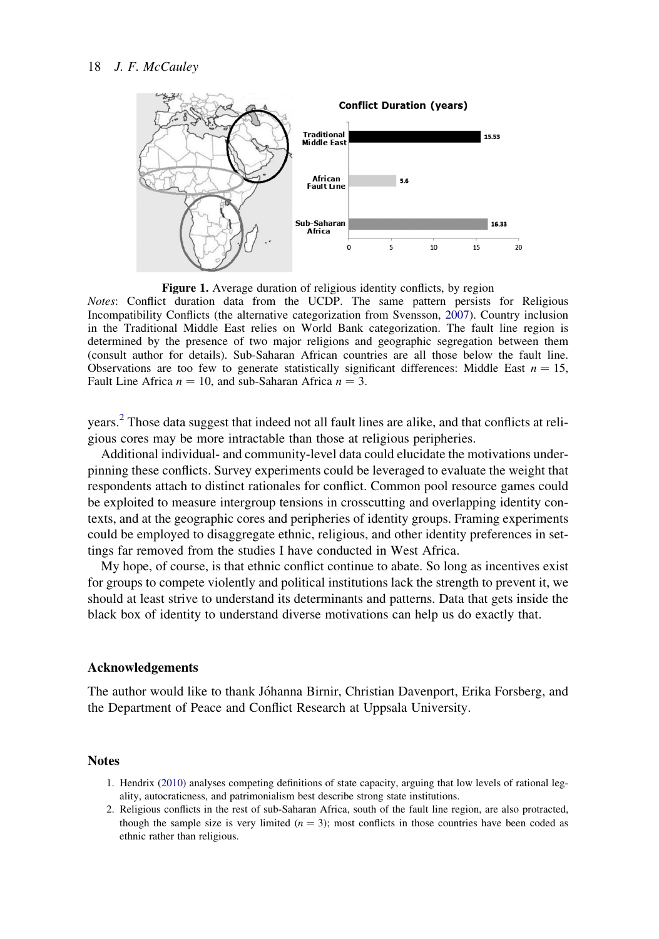<span id="page-7-0"></span>

Figure 1. Average duration of religious identity conflicts, by region Notes: Conflict duration data from the UCDP. The same pattern persists for Religious Incompatibility Conflicts (the alternative categorization from Svensson, [2007](#page-8-0)). Country inclusion in the Traditional Middle East relies on World Bank categorization. The fault line region is determined by the presence of two major religions and geographic segregation between them (consult author for details). Sub-Saharan African countries are all those below the fault line. Observations are too few to generate statistically significant differences: Middle East  $n = 15$ , Fault Line Africa  $n = 10$ , and sub-Saharan Africa  $n = 3$ .

years.<sup>2</sup> Those data suggest that indeed not all fault lines are alike, and that conflicts at religious cores may be more intractable than those at religious peripheries.

Additional individual- and community-level data could elucidate the motivations underpinning these conflicts. Survey experiments could be leveraged to evaluate the weight that respondents attach to distinct rationales for conflict. Common pool resource games could be exploited to measure intergroup tensions in crosscutting and overlapping identity contexts, and at the geographic cores and peripheries of identity groups. Framing experiments could be employed to disaggregate ethnic, religious, and other identity preferences in settings far removed from the studies I have conducted in West Africa.

My hope, of course, is that ethnic conflict continue to abate. So long as incentives exist for groups to compete violently and political institutions lack the strength to prevent it, we should at least strive to understand its determinants and patterns. Data that gets inside the black box of identity to understand diverse motivations can help us do exactly that.

#### Acknowledgements

The author would like to thank Jóhanna Birnir, Christian Davenport, Erika Forsberg, and the Department of Peace and Conflict Research at Uppsala University.

#### **Notes**

- 1. Hendrix ([2010\)](#page-8-0) analyses competing definitions of state capacity, arguing that low levels of rational legality, autocraticness, and patrimonialism best describe strong state institutions.
- 2. Religious conflicts in the rest of sub-Saharan Africa, south of the fault line region, are also protracted, though the sample size is very limited  $(n = 3)$ ; most conflicts in those countries have been coded as ethnic rather than religious.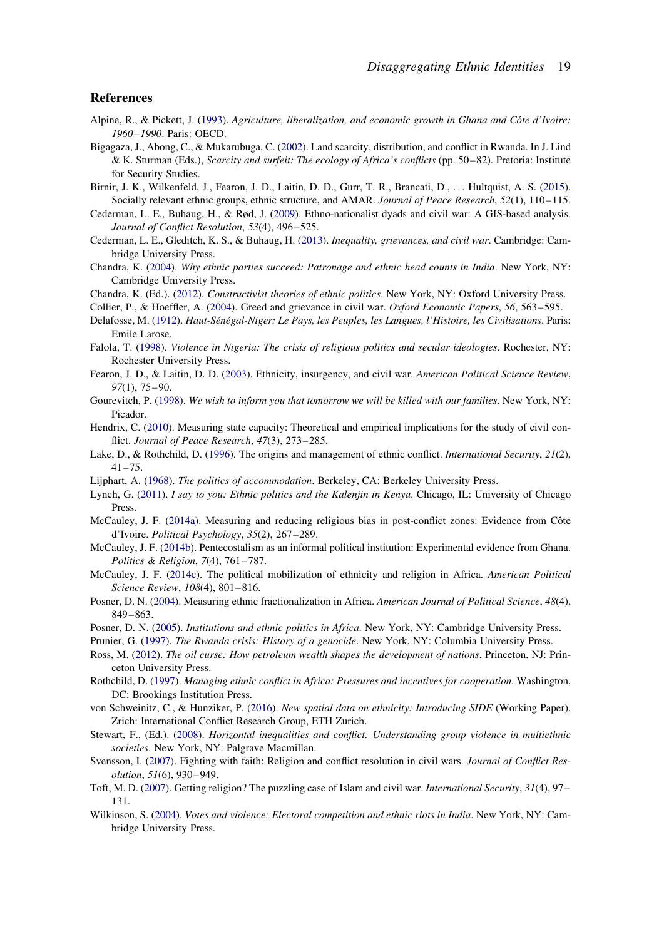#### <span id="page-8-0"></span>**References**

- Alpine, R., & Pickett, J. ([1993\)](#page-3-0). Agriculture, liberalization, and economic growth in Ghana and Côte d'Ivoire: 1960–1990. Paris: OECD.
- Bigagaza, J., Abong, C., & Mukarubuga, C. ([2002](#page-2-0)). Land scarcity, distribution, and conflict in Rwanda. In J. Lind & K. Sturman (Eds.), Scarcity and surfeit: The ecology of Africa's conflicts (pp. 50–82). Pretoria: Institute for Security Studies.
- Birnir, J. K., Wilkenfeld, J., Fearon, J. D., Laitin, D. D., Gurr, T. R., Brancati, D., ... Hultquist, A. S. ([2015\)](#page-3-0). Socially relevant ethnic groups, ethnic structure, and AMAR. Journal of Peace Research, 52(1), 110–115.
- Cederman, L. E., Buhaug, H., & Rød, J. ([2009\)](#page-4-0). Ethno-nationalist dyads and civil war: A GIS-based analysis. Journal of Conflict Resolution, 53(4), 496–525.
- Cederman, L. E., Gleditch, K. S., & Buhaug, H. ([2013\)](#page-2-0). Inequality, grievances, and civil war. Cambridge: Cambridge University Press.
- Chandra, K. [\(2004](#page-5-0)). Why ethnic parties succeed: Patronage and ethnic head counts in India. New York, NY: Cambridge University Press.
- Chandra, K. (Ed.). [\(2012](#page-3-0)). Constructivist theories of ethnic politics. New York, NY: Oxford University Press.
- Collier, P., & Hoeffler, A. [\(2004](#page-2-0)). Greed and grievance in civil war. Oxford Economic Papers, 56, 563–595.
- Delafosse, M. ([1912](#page-3-0)). Haut-Sénégal-Niger: Le Pays, les Peuples, les Langues, l'Histoire, les Civilisations. Paris: Emile Larose.
- Falola, T. ([1998\)](#page-2-0). *Violence in Nigeria: The crisis of religious politics and secular ideologies*. Rochester, NY: Rochester University Press.
- Fearon, J. D., & Laitin, D. D. ([2003\)](#page-2-0). Ethnicity, insurgency, and civil war. American Political Science Review, 97(1), 75–90.
- Gourevitch, P. ([1998\)](#page-3-0). We wish to inform you that tomorrow we will be killed with our families. New York, NY: Picador.
- Hendrix, C. [\(2010](#page-7-0)). Measuring state capacity: Theoretical and empirical implications for the study of civil conflict. Journal of Peace Research, 47(3), 273-285.
- Lake, D., & Rothchild, D. [\(1996](#page-2-0)). The origins and management of ethnic conflict. *International Security*, 21(2), 41–75.
- Lijphart, A. ([1968](#page-2-0)). The politics of accommodation. Berkeley, CA: Berkeley University Press.
- Lynch, G. [\(2011](#page-3-0)). I say to you: Ethnic politics and the Kalenjin in Kenya. Chicago, IL: University of Chicago Press.
- McCauley, J. F. ([2014a](#page-4-0)). Measuring and reducing religious bias in post-conflict zones: Evidence from Côte d'Ivoire. Political Psychology, 35(2), 267–289.
- McCauley, J. F. ([2014b\)](#page-4-0). Pentecostalism as an informal political institution: Experimental evidence from Ghana. Politics & Religion, 7(4), 761–787.
- McCauley, J. F. [\(2014c\)](#page-5-0). The political mobilization of ethnicity and religion in Africa. American Political Science Review, 108(4), 801–816.
- Posner, D. N. [\(2004](#page-3-0)). Measuring ethnic fractionalization in Africa. American Journal of Political Science, 48(4), 849–863.
- Posner, D. N. ([2005](#page-5-0)). Institutions and ethnic politics in Africa. New York, NY: Cambridge University Press.

Prunier, G. [\(1997](#page-2-0)). The Rwanda crisis: History of a genocide. New York, NY: Columbia University Press.

- Ross, M. [\(2012](#page-2-0)). The oil curse: How petroleum wealth shapes the development of nations. Princeton, NJ: Princeton University Press.
- Rothchild, D. [\(1997](#page-5-0)). Managing ethnic conflict in Africa: Pressures and incentives for cooperation. Washington, DC: Brookings Institution Press.
- von Schweinitz, C., & Hunziker, P. ([2016\)](#page-3-0). New spatial data on ethnicity: Introducing SIDE (Working Paper). Zrich: International Conflict Research Group, ETH Zurich.
- Stewart, F., (Ed.). ([2008\)](#page-2-0). Horizontal inequalities and conflict: Understanding group violence in multiethnic societies. New York, NY: Palgrave Macmillan.
- Svensson, I. ([2007\)](#page-4-0). Fighting with faith: Religion and conflict resolution in civil wars. Journal of Conflict Resolution, 51(6), 930–949.
- Toft, M. D. [\(2007](#page-4-0)). Getting religion? The puzzling case of Islam and civil war. International Security, 31(4), 97– 131.
- Wilkinson, S. ([2004\)](#page-2-0). Votes and violence: Electoral competition and ethnic riots in India. New York, NY: Cambridge University Press.